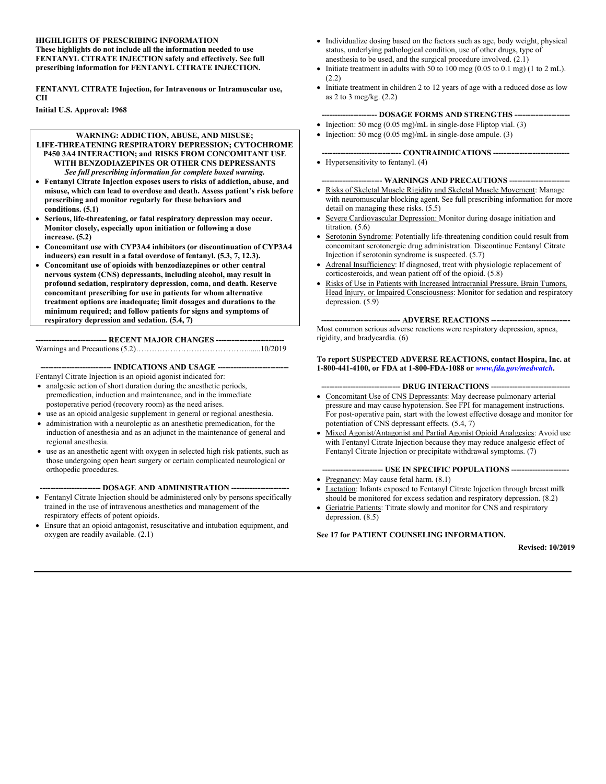#### **HIGHLIGHTS OF PRESCRIBING INFORMATION These highlights do not include all the information needed to use**

**FENTANYL CITRATE INJECTION safely and effectively. See full prescribing information for FENTANYL CITRATE INJECTION.**

**FENTANYL CITRATE Injection, for Intravenous or Intramuscular use, CII** 

**Initial U.S. Approval: 1968**

#### **WARNING: ADDICTION, ABUSE, AND MISUSE;**

- **LIFE-THREATENING RESPIRATORY DEPRESSION; CYTOCHROME P450 3A4 INTERACTION; and RISKS FROM CONCOMITANT USE WITH BENZODIAZEPINES OR OTHER CNS DEPRESSANTS** *See full prescribing information for complete boxed warning.*
- **Fentanyl Citrate Injection exposes users to risks of addiction, abuse, and misuse, which can lead to overdose and death. Assess patient's risk before prescribing and monitor regularly for these behaviors and conditions. (5.1)**
- **Serious, life-threatening, or fatal respiratory depression may occur. Monitor closely, especially upon initiation or following a dose increase. (5.2)**
- **Concomitant use with CYP3A4 inhibitors (or discontinuation of CYP3A4 inducers) can result in a fatal overdose of fentanyl. (5.3, 7, 12.3).**
- **Concomitant use of opioids with benzodiazepines or other central nervous system (CNS) depressants, including alcohol, may result in profound sedation, respiratory depression, coma, and death. Reserve concomitant prescribing for use in patients for whom alternative treatment options are inadequate; limit dosages and durations to the minimum required; and follow patients for signs and symptoms of respiratory depression and sedation. (5.4, 7)**

**--------------------------- RECENT MAJOR CHANGES --------------------------**

Warnings and Precautions (5.2)…………………………………….......10/2019

**--------------------------- INDICATIONS AND USAGE ---------------------------**

Fentanyl Citrate Injection is an opioid agonist indicated for:

- analgesic action of short duration during the anesthetic periods, premedication, induction and maintenance, and in the immediate postoperative period (recovery room) as the need arises.
- use as an opioid analgesic supplement in general or regional anesthesia.
- administration with a neuroleptic as an anesthetic premedication, for the induction of anesthesia and as an adjunct in the maintenance of general and regional anesthesia.
- use as an anesthetic agent with oxygen in selected high risk patients, such as those undergoing open heart surgery or certain complicated neurological or orthopedic procedures.

**----------------------- DOSAGE AND ADMINISTRATION ----------------------**

- Fentanyl Citrate Injection should be administered only by persons specifically trained in the use of intravenous anesthetics and management of the respiratory effects of potent opioids.
- Ensure that an opioid antagonist, resuscitative and intubation equipment, and oxygen are readily available. (2.1)
- Individualize dosing based on the factors such as age, body weight, physical status, underlying pathological condition, use of other drugs, type of anesthesia to be used, and the surgical procedure involved. (2.1)
- Initiate treatment in adults with 50 to 100 mcg  $(0.05 \text{ to } 0.1 \text{ mg})$  (1 to 2 mL). (2.2)
- Initiate treatment in children 2 to 12 years of age with a reduced dose as low as 2 to 3 mcg/kg. (2.2)

#### **--------------------- DOSAGE FORMS AND STRENGTHS ---------------------**

- Injection: 50 mcg  $(0.05 \text{ mg})/\text{mL}$  in single-dose Fliptop vial. (3)
- Injection: 50 mcg (0.05 mg)/mL in single-dose ampule. (3)

#### **------------------------------ CONTRAINDICATIONS -----------------------------**

 $\bullet$  Hypersensitivity to fentanyl. (4)

#### --- WARNINGS AND PRECAUTIONS -----

- Risks of Skeletal Muscle Rigidity and Skeletal Muscle Movement: Manage with neuromuscular blocking agent. See full prescribing information for more detail on managing these risks. (5.5)
- Severe Cardiovascular Depression: Monitor during dosage initiation and titration. (5.6)
- Serotonin Syndrome: Potentially life-threatening condition could result from concomitant serotonergic drug administration. Discontinue Fentanyl Citrate Injection if serotonin syndrome is suspected. (5.7)
- Adrenal Insufficiency: If diagnosed, treat with physiologic replacement of corticosteroids, and wean patient off of the opioid. (5.8)
- Risks of Use in Patients with Increased Intracranial Pressure, Brain Tumors, Head Injury, or Impaired Consciousness: Monitor for sedation and respiratory depression. (5.9)

**------------------------------ ADVERSE REACTIONS ------------------------------** Most common serious adverse reactions were respiratory depression, apnea, rigidity, and bradycardia. (6)

#### **To report SUSPECTED ADVERSE REACTIONS, contact Hospira, Inc. at 1-800-441-4100, or FDA at 1-800-FDA-1088 or** *[www.fda.gov/medwatch](http://www.fda.gov/medwatch)***.**

- **------------------------------ DRUG INTERACTIONS ------------------------------**
- Concomitant Use of CNS Depressants: May decrease pulmonary arterial pressure and may cause hypotension. See FPI for management instructions. For post-operative pain, start with the lowest effective dosage and monitor for potentiation of CNS depressant effects. (5.4, 7)
- Mixed Agonist/Antagonist and Partial Agonist Opioid Analgesics: Avoid use with Fentanyl Citrate Injection because they may reduce analgesic effect of Fentanyl Citrate Injection or precipitate withdrawal symptoms. (7)

**----------------------- USE IN SPECIFIC POPULATIONS ----------------------**

- Pregnancy: May cause fetal harm. (8.1)
- Lactation: Infants exposed to Fentanyl Citrate Injection through breast milk should be monitored for excess sedation and respiratory depression. (8.2)
- Geriatric Patients: Titrate slowly and monitor for CNS and respiratory depression. (8.5)

#### **See 17 for PATIENT COUNSELING INFORMATION.**

**Revised: 10/2019**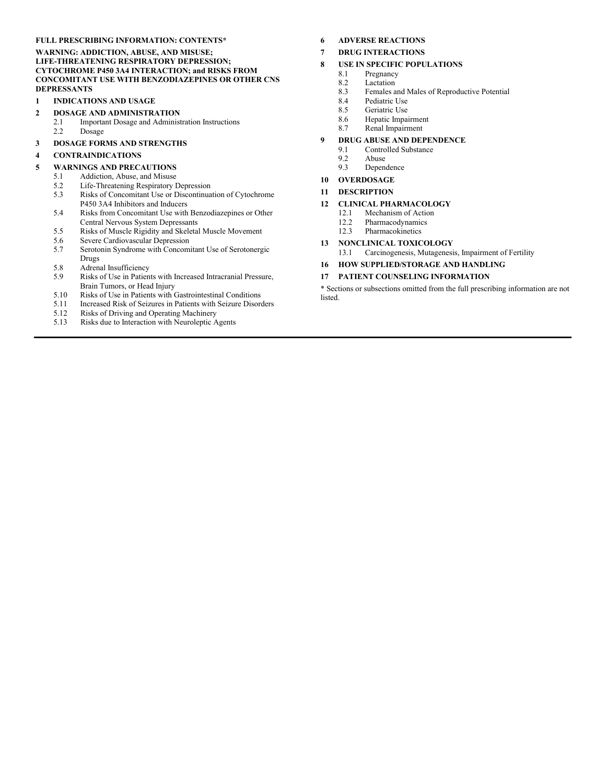#### **FULL PRESCRIBING INFORMATION: CONTENTS\***

**WARNING: ADDICTION, ABUSE, AND MISUSE; LIFE-THREATENING RESPIRATORY DEPRESSION; CYTOCHROME P450 3A4 INTERACTION; and RISKS FROM CONCOMITANT USE WITH BENZODIAZEPINES OR OTHER CNS DEPRESSANTS**

#### **1 INDICATIONS AND USAGE**

- **2 DOSAGE AND ADMINISTRATION**
	- 2.1 Important Dosage and Administration Instructions<br>2.2 Dosage Dosage

#### **3 DOSAGE FORMS AND STRENGTHS**

#### **4 CONTRAINDICATIONS**

#### **5 WARNINGS AND PRECAUTIONS**

- 5.1 Addiction, Abuse, and Misuse
- 5.2 Life-Threatening Respiratory Depression
- 5.3 Risks of Concomitant Use or Discontinuation of Cytochrome P450 3A4 Inhibitors and Inducers
- 5.4 Risks from Concomitant Use with Benzodiazepines or Other Central Nervous System Depressants
- 5.5 Risks of Muscle Rigidity and Skeletal Muscle Movement
- 5.6 Severe Cardiovascular Depression<br>5.7 Serotonin Syndrome with Concom
- Serotonin Syndrome with Concomitant Use of Serotonergic Drugs
- 5.8 Adrenal Insufficiency<br>5.9 Risks of Use in Patien
- Risks of Use in Patients with Increased Intracranial Pressure, Brain Tumors, or Head Injury
- 5.10 Risks of Use in Patients with Gastrointestinal Conditions<br>5.11 Increased Risk of Seizures in Patients with Seizure Disore
- 5.11 Increased Risk of Seizures in Patients with Seizure Disorders
- 5.12 Risks of Driving and Operating Machinery
- 5.13 Risks due to Interaction with Neuroleptic Agents

#### **6 ADVERSE REACTIONS**

#### **7 DRUG INTERACTIONS**

#### **8 USE IN SPECIFIC POPULATIONS**

- 8.1 Pregnancy
- 8.2 Lactation<br>8.3 Females a
- 8.3 Females and Males of Reproductive Potential<br>8.4 Pediatric Use
- 8.4 Pediatric Use<br>8.5 Geriatric Use
- Geriatric Use
- 8.6 Hepatic Impairment<br>8.7 Renal Impairment
- Renal Impairment

#### **9 DRUG ABUSE AND DEPENDENCE**

- 9.1 Controlled Substance<br>9.2 Abuse
- 9.2 Abuse<br>9.3 Depen
- **Dependence**

#### **10 OVERDOSAGE**

#### **11 DESCRIPTION**

#### **12 CLINICAL PHARMACOLOGY**

- 12.1 Mechanism of Action
- 12.2 Pharmacodynamics
- 12.3 Pharmacokinetics
- **13 NONCLINICAL TOXICOLOGY**

13.1 Carcinogenesis, Mutagenesis, Impairment of Fertility

**16 HOW SUPPLIED/STORAGE AND HANDLING**

#### **17 PATIENT COUNSELING INFORMATION**

\* Sections or subsections omitted from the full prescribing information are not listed.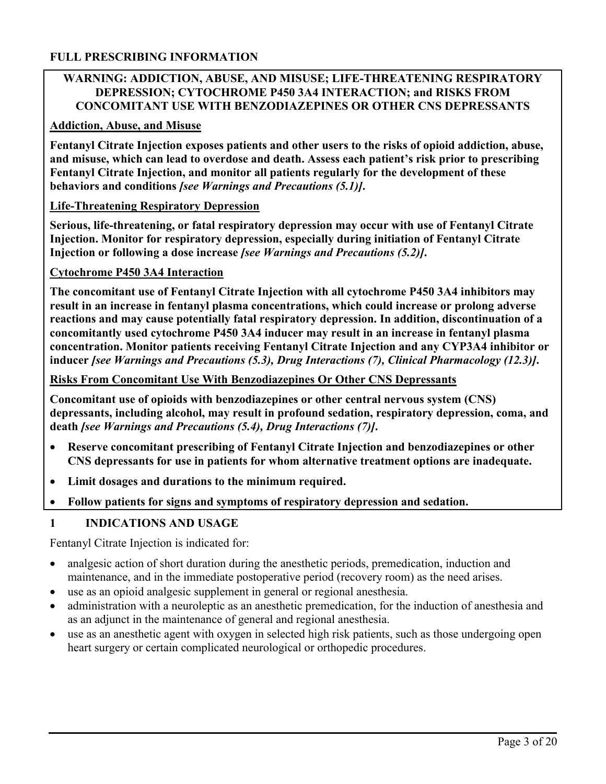#### **FULL PRESCRIBING INFORMATION**

### **WARNING: ADDICTION, ABUSE, AND MISUSE; LIFE-THREATENING RESPIRATORY DEPRESSION; CYTOCHROME P450 3A4 INTERACTION; and RISKS FROM CONCOMITANT USE WITH BENZODIAZEPINES OR OTHER CNS DEPRESSANTS**

#### **Addiction, Abuse, and Misuse**

**Fentanyl Citrate Injection exposes patients and other users to the risks of opioid addiction, abuse, and misuse, which can lead to overdose and death. Assess each patient's risk prior to prescribing Fentanyl Citrate Injection, and monitor all patients regularly for the development of these behaviors and conditions** *[see Warnings and Precautions (5.1)]***.**

#### **Life-Threatening Respiratory Depression**

**Serious, life-threatening, or fatal respiratory depression may occur with use of Fentanyl Citrate Injection. Monitor for respiratory depression, especially during initiation of Fentanyl Citrate Injection or following a dose increase** *[see Warnings and Precautions (5.2)]***.**

#### **Cytochrome P450 3A4 Interaction**

**The concomitant use of Fentanyl Citrate Injection with all cytochrome P450 3A4 inhibitors may result in an increase in fentanyl plasma concentrations, which could increase or prolong adverse reactions and may cause potentially fatal respiratory depression. In addition, discontinuation of a concomitantly used cytochrome P450 3A4 inducer may result in an increase in fentanyl plasma concentration. Monitor patients receiving Fentanyl Citrate Injection and any CYP3A4 inhibitor or inducer** *[see Warnings and Precautions (5.3), Drug Interactions (7), Clinical Pharmacology (12.3)]***.**

#### **Risks From Concomitant Use With Benzodiazepines Or Other CNS Depressants**

**Concomitant use of opioids with benzodiazepines or other central nervous system (CNS) depressants, including alcohol, may result in profound sedation, respiratory depression, coma, and death** *[see Warnings and Precautions (5.4), Drug Interactions (7)]***.**

- **Reserve concomitant prescribing of Fentanyl Citrate Injection and benzodiazepines or other CNS depressants for use in patients for whom alternative treatment options are inadequate.**
- **Limit dosages and durations to the minimum required.**
- **Follow patients for signs and symptoms of respiratory depression and sedation.**

### **1 INDICATIONS AND USAGE**

Fentanyl Citrate Injection is indicated for:

- analgesic action of short duration during the anesthetic periods, premedication, induction and maintenance, and in the immediate postoperative period (recovery room) as the need arises.
- use as an opioid analgesic supplement in general or regional anesthesia.
- administration with a neuroleptic as an anesthetic premedication, for the induction of anesthesia and as an adjunct in the maintenance of general and regional anesthesia.
- use as an anesthetic agent with oxygen in selected high risk patients, such as those undergoing open heart surgery or certain complicated neurological or orthopedic procedures.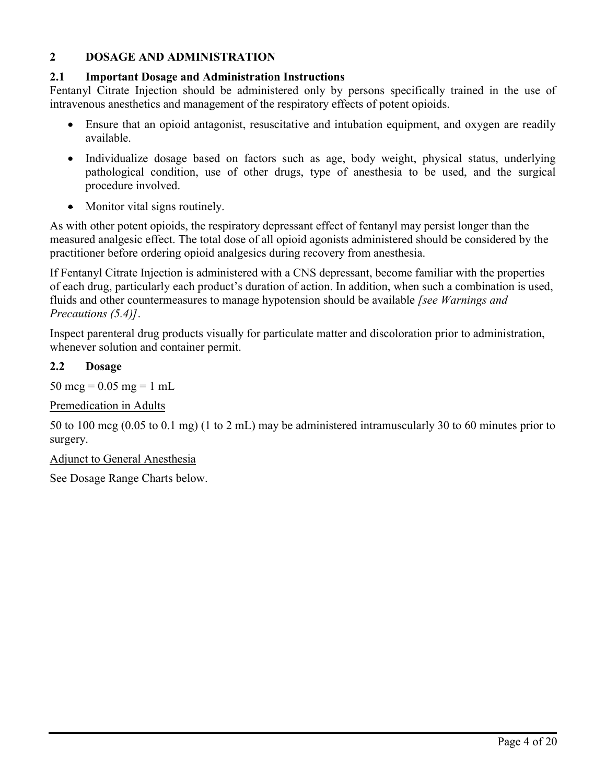## **2 DOSAGE AND ADMINISTRATION**

#### **2.1 Important Dosage and Administration Instructions**

Fentanyl Citrate Injection should be administered only by persons specifically trained in the use of intravenous anesthetics and management of the respiratory effects of potent opioids.

- Ensure that an opioid antagonist, resuscitative and intubation equipment, and oxygen are readily available.
- Individualize dosage based on factors such as age, body weight, physical status, underlying pathological condition, use of other drugs, type of anesthesia to be used, and the surgical procedure involved.
- Monitor vital signs routinely.

As with other potent opioids, the respiratory depressant effect of fentanyl may persist longer than the measured analgesic effect. The total dose of all opioid agonists administered should be considered by the practitioner before ordering opioid analgesics during recovery from anesthesia.

If Fentanyl Citrate Injection is administered with a CNS depressant, become familiar with the properties of each drug, particularly each product's duration of action. In addition, when such a combination is used, fluids and other countermeasures to manage hypotension should be available *[see Warnings and Precautions (5.4)]*.

Inspect parenteral drug products visually for particulate matter and discoloration prior to administration, whenever solution and container permit.

#### **2.2 Dosage**

50 mcg =  $0.05$  mg = 1 mL

Premedication in Adults

50 to 100 mcg (0.05 to 0.1 mg) (1 to 2 mL) may be administered intramuscularly 30 to 60 minutes prior to surgery.

Adjunct to General Anesthesia

See Dosage Range Charts below.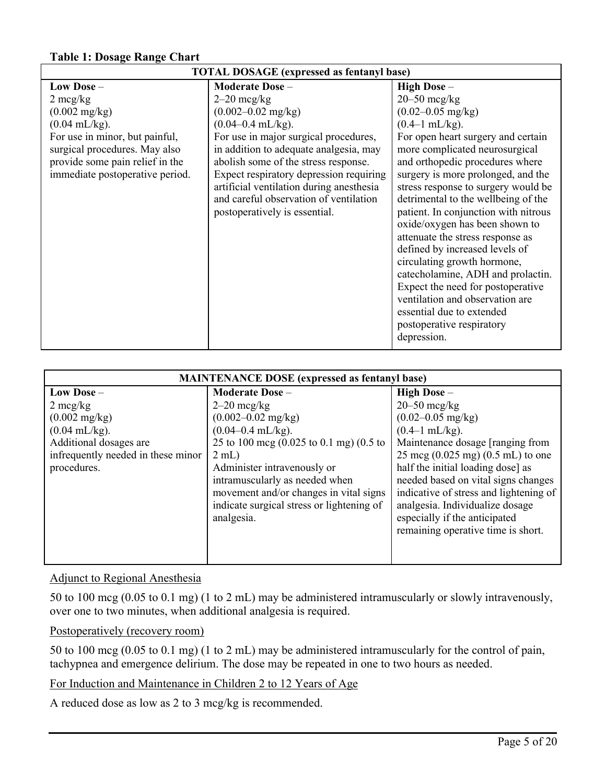#### **Table 1: Dosage Range Chart**

| <b>TOTAL DOSAGE</b> (expressed as fentanyl base) |                                          |                                      |  |
|--------------------------------------------------|------------------------------------------|--------------------------------------|--|
| Low Dose -                                       | <b>Moderate Dose -</b>                   | High Dose -                          |  |
| $2 \text{~mag/kg}$                               | $2-20$ mcg/kg                            | $20 - 50$ mcg/kg                     |  |
| $(0.002 \text{ mg/kg})$                          | $(0.002 - 0.02 \text{ mg/kg})$           | $(0.02 - 0.05 \text{ mg/kg})$        |  |
| $(0.04 \text{ mL/kg})$ .                         | $(0.04 - 0.4$ mL/kg).                    | $(0.4-1$ mL/kg).                     |  |
| For use in minor, but painful,                   | For use in major surgical procedures,    | For open heart surgery and certain   |  |
| surgical procedures. May also                    | in addition to adequate analgesia, may   | more complicated neurosurgical       |  |
| provide some pain relief in the                  | abolish some of the stress response.     | and orthopedic procedures where      |  |
| immediate postoperative period.                  | Expect respiratory depression requiring  | surgery is more prolonged, and the   |  |
|                                                  | artificial ventilation during anesthesia | stress response to surgery would be  |  |
|                                                  | and careful observation of ventilation   | detrimental to the wellbeing of the  |  |
|                                                  | postoperatively is essential.            | patient. In conjunction with nitrous |  |
|                                                  |                                          | oxide/oxygen has been shown to       |  |
|                                                  |                                          | attenuate the stress response as     |  |
|                                                  |                                          | defined by increased levels of       |  |
|                                                  |                                          | circulating growth hormone,          |  |
|                                                  |                                          | catecholamine, ADH and prolactin.    |  |
|                                                  |                                          | Expect the need for postoperative    |  |
|                                                  |                                          | ventilation and observation are      |  |
|                                                  |                                          | essential due to extended            |  |
|                                                  |                                          | postoperative respiratory            |  |
|                                                  |                                          | depression.                          |  |

| <b>MAINTENANCE DOSE</b> (expressed as fentanyl base) |                                                                                       |                                                             |  |
|------------------------------------------------------|---------------------------------------------------------------------------------------|-------------------------------------------------------------|--|
| Low Dose $-$                                         | <b>Moderate Dose -</b>                                                                | High Dose -                                                 |  |
| $2 \text{~mag/kg}$                                   | $2-20$ mcg/kg                                                                         | $20 - 50$ mcg/kg                                            |  |
| $(0.002 \text{ mg/kg})$                              | $(0.002 - 0.02 \text{ mg/kg})$                                                        | $(0.02 - 0.05 \text{ mg/kg})$                               |  |
| $(0.04 \text{ mL/kg})$ .                             | $(0.04 - 0.4$ mL/kg).                                                                 | $(0.4-1 \text{ mL/kg})$ .                                   |  |
| Additional dosages are                               | 25 to 100 mcg $(0.025 \text{ to } 0.1 \text{ mg})$ $(0.5 \text{ to } 0.1 \text{ mg})$ | Maintenance dosage [ranging from                            |  |
| infrequently needed in these minor                   | $2$ mL)                                                                               | $25 \text{ mcg} (0.025 \text{ mg}) (0.5 \text{ mL})$ to one |  |
| procedures.                                          | Administer intravenously or                                                           | half the initial loading dose] as                           |  |
|                                                      | intramuscularly as needed when                                                        | needed based on vital signs changes                         |  |
|                                                      | movement and/or changes in vital signs                                                | indicative of stress and lightening of                      |  |
|                                                      | indicate surgical stress or lightening of                                             | analgesia. Individualize dosage                             |  |
|                                                      | analgesia.                                                                            | especially if the anticipated                               |  |
|                                                      |                                                                                       | remaining operative time is short.                          |  |
|                                                      |                                                                                       |                                                             |  |
|                                                      |                                                                                       |                                                             |  |

#### Adjunct to Regional Anesthesia

50 to 100 mcg (0.05 to 0.1 mg) (1 to 2 mL) may be administered intramuscularly or slowly intravenously, over one to two minutes, when additional analgesia is required.

#### Postoperatively (recovery room)

50 to 100 mcg (0.05 to 0.1 mg) (1 to 2 mL) may be administered intramuscularly for the control of pain, tachypnea and emergence delirium. The dose may be repeated in one to two hours as needed.

## For Induction and Maintenance in Children 2 to 12 Years of Age

A reduced dose as low as 2 to 3 mcg/kg is recommended.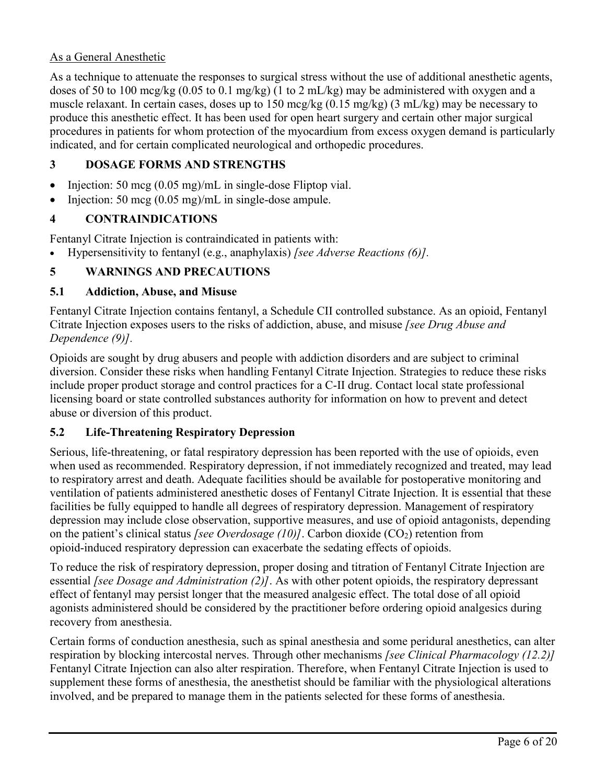## As a General Anesthetic

As a technique to attenuate the responses to surgical stress without the use of additional anesthetic agents, doses of 50 to 100 mcg/kg (0.05 to 0.1 mg/kg) (1 to 2 mL/kg) may be administered with oxygen and a muscle relaxant. In certain cases, doses up to 150 mcg/kg (0.15 mg/kg) (3 mL/kg) may be necessary to produce this anesthetic effect. It has been used for open heart surgery and certain other major surgical procedures in patients for whom protection of the myocardium from excess oxygen demand is particularly indicated, and for certain complicated neurological and orthopedic procedures.

## **3 DOSAGE FORMS AND STRENGTHS**

- Injection: 50 mcg  $(0.05 \text{ mg})/\text{mL}$  in single-dose Fliptop vial.
- Injection: 50 mcg  $(0.05 \text{ mg})/\text{mL}$  in single-dose ampule.

## **4 CONTRAINDICATIONS**

Fentanyl Citrate Injection is contraindicated in patients with:

Hypersensitivity to fentanyl (e.g., anaphylaxis) *[see Adverse Reactions (6)].*

## **5 WARNINGS AND PRECAUTIONS**

### **5.1 Addiction, Abuse, and Misuse**

Fentanyl Citrate Injection contains fentanyl, a Schedule CII controlled substance. As an opioid, Fentanyl Citrate Injection exposes users to the risks of addiction, abuse, and misuse *[see Drug Abuse and Dependence (9)].*

Opioids are sought by drug abusers and people with addiction disorders and are subject to criminal diversion. Consider these risks when handling Fentanyl Citrate Injection. Strategies to reduce these risks include proper product storage and control practices for a C-II drug. Contact local state professional licensing board or state controlled substances authority for information on how to prevent and detect abuse or diversion of this product.

### **5.2 Life-Threatening Respiratory Depression**

Serious, life-threatening, or fatal respiratory depression has been reported with the use of opioids, even when used as recommended. Respiratory depression, if not immediately recognized and treated, may lead to respiratory arrest and death. Adequate facilities should be available for postoperative monitoring and ventilation of patients administered anesthetic doses of Fentanyl Citrate Injection. It is essential that these facilities be fully equipped to handle all degrees of respiratory depression. Management of respiratory depression may include close observation, supportive measures, and use of opioid antagonists, depending on the patient's clinical status *[see Overdosage (10)]*. Carbon dioxide (CO<sub>2</sub>) retention from opioid-induced respiratory depression can exacerbate the sedating effects of opioids.

To reduce the risk of respiratory depression, proper dosing and titration of Fentanyl Citrate Injection are essential *[see Dosage and Administration (2)]*. As with other potent opioids, the respiratory depressant effect of fentanyl may persist longer that the measured analgesic effect. The total dose of all opioid agonists administered should be considered by the practitioner before ordering opioid analgesics during recovery from anesthesia.

Certain forms of conduction anesthesia, such as spinal anesthesia and some peridural anesthetics, can alter respiration by blocking intercostal nerves. Through other mechanisms *[see Clinical Pharmacology (12.2)]* Fentanyl Citrate Injection can also alter respiration. Therefore, when Fentanyl Citrate Injection is used to supplement these forms of anesthesia, the anesthetist should be familiar with the physiological alterations involved, and be prepared to manage them in the patients selected for these forms of anesthesia.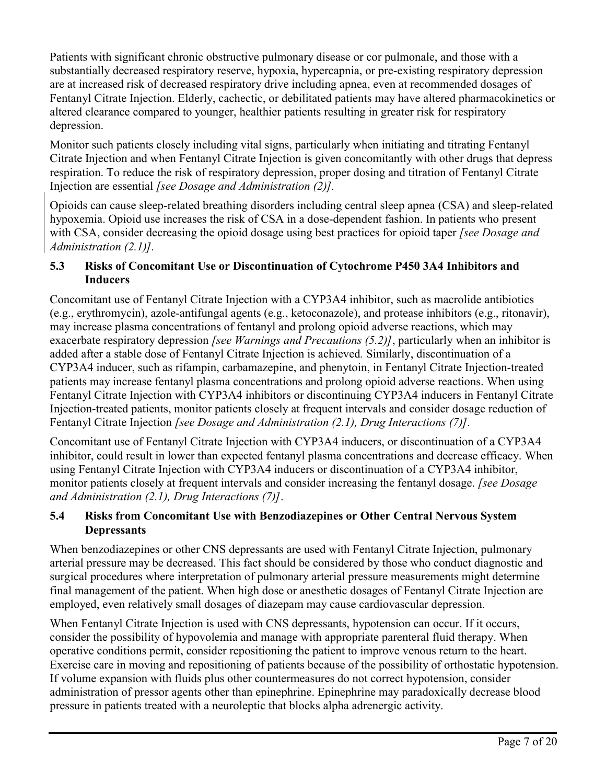Patients with significant chronic obstructive pulmonary disease or cor pulmonale, and those with a substantially decreased respiratory reserve, hypoxia, hypercapnia, or pre-existing respiratory depression are at increased risk of decreased respiratory drive including apnea, even at recommended dosages of Fentanyl Citrate Injection. Elderly, cachectic, or debilitated patients may have altered pharmacokinetics or altered clearance compared to younger, healthier patients resulting in greater risk for respiratory depression.

Monitor such patients closely including vital signs, particularly when initiating and titrating Fentanyl Citrate Injection and when Fentanyl Citrate Injection is given concomitantly with other drugs that depress respiration. To reduce the risk of respiratory depression, proper dosing and titration of Fentanyl Citrate Injection are essential *[see Dosage and Administration (2)].*

Opioids can cause sleep-related breathing disorders including central sleep apnea (CSA) and sleep-related hypoxemia. Opioid use increases the risk of CSA in a dose-dependent fashion. In patients who present with CSA, consider decreasing the opioid dosage using best practices for opioid taper *[see Dosage and Administration (2.1)].*

## **5.3 Risks of Concomitant Use or Discontinuation of Cytochrome P450 3A4 Inhibitors and Inducers**

Concomitant use of Fentanyl Citrate Injection with a CYP3A4 inhibitor, such as macrolide antibiotics (e.g., erythromycin), azole-antifungal agents (e.g., ketoconazole), and protease inhibitors (e.g., ritonavir), may increase plasma concentrations of fentanyl and prolong opioid adverse reactions, which may exacerbate respiratory depression *[see Warnings and Precautions (5.2)]*, particularly when an inhibitor is added after a stable dose of Fentanyl Citrate Injection is achieved*.* Similarly, discontinuation of a CYP3A4 inducer, such as rifampin, carbamazepine, and phenytoin, in Fentanyl Citrate Injection-treated patients may increase fentanyl plasma concentrations and prolong opioid adverse reactions. When using Fentanyl Citrate Injection with CYP3A4 inhibitors or discontinuing CYP3A4 inducers in Fentanyl Citrate Injection-treated patients, monitor patients closely at frequent intervals and consider dosage reduction of Fentanyl Citrate Injection *[see Dosage and Administration (2.1), Drug Interactions (7)].*

Concomitant use of Fentanyl Citrate Injection with CYP3A4 inducers, or discontinuation of a CYP3A4 inhibitor, could result in lower than expected fentanyl plasma concentrations and decrease efficacy. When using Fentanyl Citrate Injection with CYP3A4 inducers or discontinuation of a CYP3A4 inhibitor, monitor patients closely at frequent intervals and consider increasing the fentanyl dosage. *[see Dosage and Administration (2.1), Drug Interactions (7)]*.

# **5.4 Risks from Concomitant Use with Benzodiazepines or Other Central Nervous System Depressants**

When benzodiazepines or other CNS depressants are used with Fentanyl Citrate Injection, pulmonary arterial pressure may be decreased. This fact should be considered by those who conduct diagnostic and surgical procedures where interpretation of pulmonary arterial pressure measurements might determine final management of the patient. When high dose or anesthetic dosages of Fentanyl Citrate Injection are employed, even relatively small dosages of diazepam may cause cardiovascular depression.

When Fentanyl Citrate Injection is used with CNS depressants, hypotension can occur. If it occurs, consider the possibility of hypovolemia and manage with appropriate parenteral fluid therapy. When operative conditions permit, consider repositioning the patient to improve venous return to the heart. Exercise care in moving and repositioning of patients because of the possibility of orthostatic hypotension. If volume expansion with fluids plus other countermeasures do not correct hypotension, consider administration of pressor agents other than epinephrine. Epinephrine may paradoxically decrease blood pressure in patients treated with a neuroleptic that blocks alpha adrenergic activity.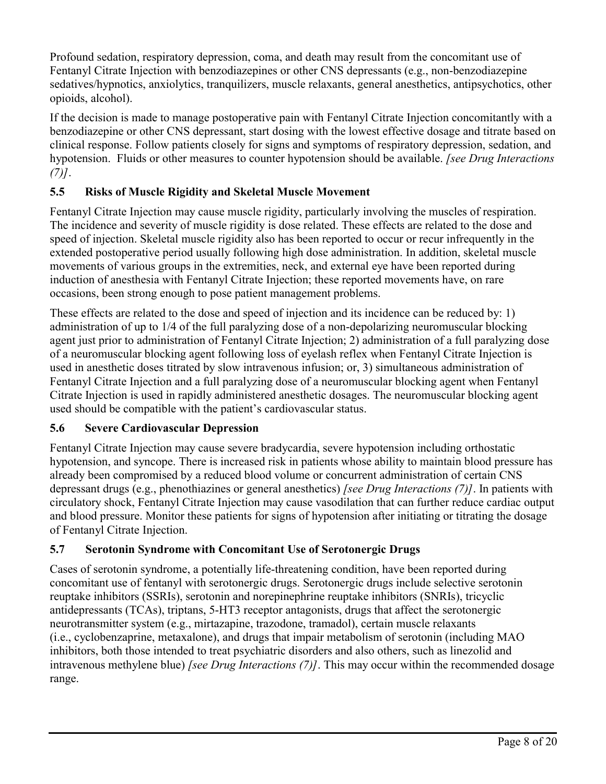Profound sedation, respiratory depression, coma, and death may result from the concomitant use of Fentanyl Citrate Injection with benzodiazepines or other CNS depressants (e.g., non-benzodiazepine sedatives/hypnotics, anxiolytics, tranquilizers, muscle relaxants, general anesthetics, antipsychotics, other opioids, alcohol).

If the decision is made to manage postoperative pain with Fentanyl Citrate Injection concomitantly with a benzodiazepine or other CNS depressant, start dosing with the lowest effective dosage and titrate based on clinical response. Follow patients closely for signs and symptoms of respiratory depression, sedation, and hypotension. Fluids or other measures to counter hypotension should be available. *[see Drug Interactions (7)]*.

# **5.5 Risks of Muscle Rigidity and Skeletal Muscle Movement**

Fentanyl Citrate Injection may cause muscle rigidity, particularly involving the muscles of respiration. The incidence and severity of muscle rigidity is dose related. These effects are related to the dose and speed of injection. Skeletal muscle rigidity also has been reported to occur or recur infrequently in the extended postoperative period usually following high dose administration. In addition, skeletal muscle movements of various groups in the extremities, neck, and external eye have been reported during induction of anesthesia with Fentanyl Citrate Injection; these reported movements have, on rare occasions, been strong enough to pose patient management problems.

These effects are related to the dose and speed of injection and its incidence can be reduced by: 1) administration of up to 1/4 of the full paralyzing dose of a non-depolarizing neuromuscular blocking agent just prior to administration of Fentanyl Citrate Injection; 2) administration of a full paralyzing dose of a neuromuscular blocking agent following loss of eyelash reflex when Fentanyl Citrate Injection is used in anesthetic doses titrated by slow intravenous infusion; or, 3) simultaneous administration of Fentanyl Citrate Injection and a full paralyzing dose of a neuromuscular blocking agent when Fentanyl Citrate Injection is used in rapidly administered anesthetic dosages. The neuromuscular blocking agent used should be compatible with the patient's cardiovascular status.

## **5.6 Severe Cardiovascular Depression**

Fentanyl Citrate Injection may cause severe bradycardia, severe hypotension including orthostatic hypotension, and syncope. There is increased risk in patients whose ability to maintain blood pressure has already been compromised by a reduced blood volume or concurrent administration of certain CNS depressant drugs (e.g., phenothiazines or general anesthetics) *[see Drug Interactions (7)]*. In patients with circulatory shock, Fentanyl Citrate Injection may cause vasodilation that can further reduce cardiac output and blood pressure. Monitor these patients for signs of hypotension after initiating or titrating the dosage of Fentanyl Citrate Injection.

## **5.7 Serotonin Syndrome with Concomitant Use of Serotonergic Drugs**

Cases of serotonin syndrome, a potentially life-threatening condition, have been reported during concomitant use of fentanyl with serotonergic drugs. Serotonergic drugs include selective serotonin reuptake inhibitors (SSRIs), serotonin and norepinephrine reuptake inhibitors (SNRIs), tricyclic antidepressants (TCAs), triptans, 5-HT3 receptor antagonists, drugs that affect the serotonergic neurotransmitter system (e.g., mirtazapine, trazodone, tramadol), certain muscle relaxants (i.e., cyclobenzaprine, metaxalone), and drugs that impair metabolism of serotonin (including MAO inhibitors, both those intended to treat psychiatric disorders and also others, such as linezolid and intravenous methylene blue) *[see Drug Interactions (7)]*. This may occur within the recommended dosage range.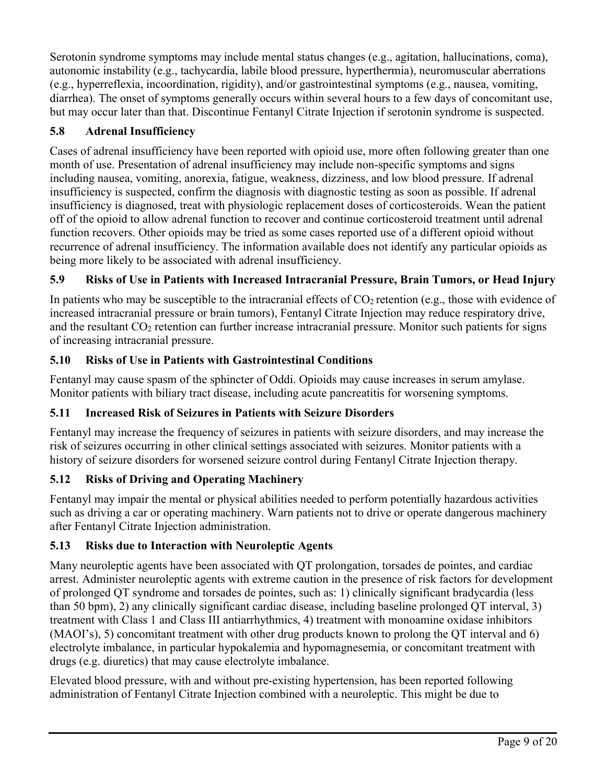Serotonin syndrome symptoms may include mental status changes (e.g., agitation, hallucinations, coma), autonomic instability (e.g., tachycardia, labile blood pressure, hyperthermia), neuromuscular aberrations (e.g., hyperreflexia, incoordination, rigidity), and/or gastrointestinal symptoms (e.g., nausea, vomiting, diarrhea). The onset of symptoms generally occurs within several hours to a few days of concomitant use, but may occur later than that. Discontinue Fentanyl Citrate Injection if serotonin syndrome is suspected.

# **5.8 Adrenal Insufficiency**

Cases of adrenal insufficiency have been reported with opioid use, more often following greater than one month of use. Presentation of adrenal insufficiency may include non-specific symptoms and signs including nausea, vomiting, anorexia, fatigue, weakness, dizziness, and low blood pressure. If adrenal insufficiency is suspected, confirm the diagnosis with diagnostic testing as soon as possible. If adrenal insufficiency is diagnosed, treat with physiologic replacement doses of corticosteroids. Wean the patient off of the opioid to allow adrenal function to recover and continue corticosteroid treatment until adrenal function recovers. Other opioids may be tried as some cases reported use of a different opioid without recurrence of adrenal insufficiency. The information available does not identify any particular opioids as being more likely to be associated with adrenal insufficiency.

# **5.9 Risks of Use in Patients with Increased Intracranial Pressure, Brain Tumors, or Head Injury**

In patients who may be susceptible to the intracranial effects of  $CO<sub>2</sub>$  retention (e.g., those with evidence of increased intracranial pressure or brain tumors), Fentanyl Citrate Injection may reduce respiratory drive, and the resultant CO<sub>2</sub> retention can further increase intracranial pressure. Monitor such patients for signs of increasing intracranial pressure.

# **5.10 Risks of Use in Patients with Gastrointestinal Conditions**

Fentanyl may cause spasm of the sphincter of Oddi. Opioids may cause increases in serum amylase. Monitor patients with biliary tract disease, including acute pancreatitis for worsening symptoms.

## **5.11 Increased Risk of Seizures in Patients with Seizure Disorders**

Fentanyl may increase the frequency of seizures in patients with seizure disorders, and may increase the risk of seizures occurring in other clinical settings associated with seizures. Monitor patients with a history of seizure disorders for worsened seizure control during Fentanyl Citrate Injection therapy.

# **5.12 Risks of Driving and Operating Machinery**

Fentanyl may impair the mental or physical abilities needed to perform potentially hazardous activities such as driving a car or operating machinery. Warn patients not to drive or operate dangerous machinery after Fentanyl Citrate Injection administration.

## **5.13 Risks due to Interaction with Neuroleptic Agents**

Many neuroleptic agents have been associated with QT prolongation, torsades de pointes, and cardiac arrest. Administer neuroleptic agents with extreme caution in the presence of risk factors for development of prolonged QT syndrome and torsades de pointes, such as: 1) clinically significant bradycardia (less than 50 bpm), 2) any clinically significant cardiac disease, including baseline prolonged QT interval, 3) treatment with Class 1 and Class III antiarrhythmics, 4) treatment with monoamine oxidase inhibitors (MAOI's), 5) concomitant treatment with other drug products known to prolong the QT interval and 6) electrolyte imbalance, in particular hypokalemia and hypomagnesemia, or concomitant treatment with drugs (e.g. diuretics) that may cause electrolyte imbalance.

Elevated blood pressure, with and without pre-existing hypertension, has been reported following administration of Fentanyl Citrate Injection combined with a neuroleptic. This might be due to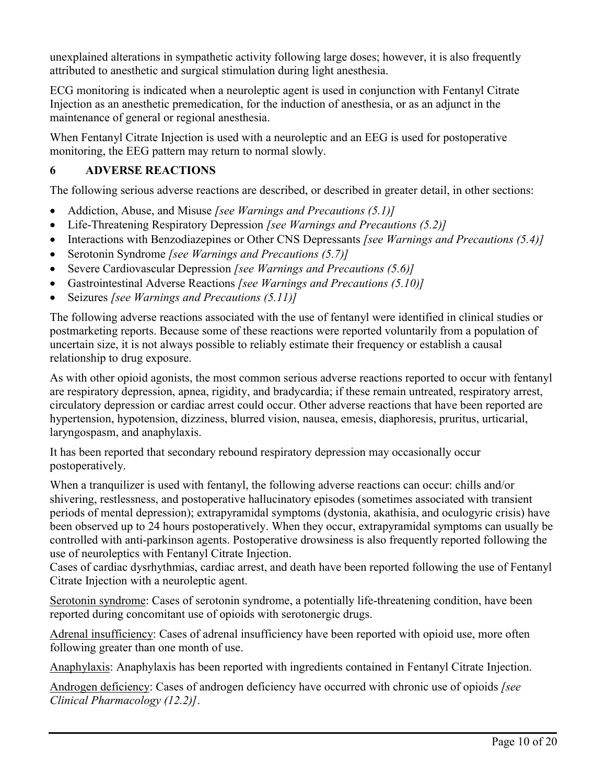unexplained alterations in sympathetic activity following large doses; however, it is also frequently attributed to anesthetic and surgical stimulation during light anesthesia.

ECG monitoring is indicated when a neuroleptic agent is used in conjunction with Fentanyl Citrate Injection as an anesthetic premedication, for the induction of anesthesia, or as an adjunct in the maintenance of general or regional anesthesia.

When Fentanyl Citrate Injection is used with a neuroleptic and an EEG is used for postoperative monitoring, the EEG pattern may return to normal slowly.

# **6 ADVERSE REACTIONS**

The following serious adverse reactions are described, or described in greater detail, in other sections:

- Addiction, Abuse, and Misuse *[see Warnings and Precautions (5.1)]*
- Life-Threatening Respiratory Depression *[see Warnings and Precautions (5.2)]*
- Interactions with Benzodiazepines or Other CNS Depressants *[see Warnings and Precautions (5.4)]*
- Serotonin Syndrome *[see Warnings and Precautions (5.7)]*
- Severe Cardiovascular Depression *[see Warnings and Precautions (5.6)]*
- Gastrointestinal Adverse Reactions *[see Warnings and Precautions (5.10)]*
- Seizures *[see Warnings and Precautions (5.11)]*

The following adverse reactions associated with the use of fentanyl were identified in clinical studies or postmarketing reports. Because some of these reactions were reported voluntarily from a population of uncertain size, it is not always possible to reliably estimate their frequency or establish a causal relationship to drug exposure.

As with other opioid agonists, the most common serious adverse reactions reported to occur with fentanyl are respiratory depression, apnea, rigidity, and bradycardia; if these remain untreated, respiratory arrest, circulatory depression or cardiac arrest could occur. Other adverse reactions that have been reported are hypertension, hypotension, dizziness, blurred vision, nausea, emesis, diaphoresis, pruritus, urticarial, laryngospasm, and anaphylaxis.

It has been reported that secondary rebound respiratory depression may occasionally occur postoperatively.

When a tranquilizer is used with fentanyl, the following adverse reactions can occur: chills and/or shivering, restlessness, and postoperative hallucinatory episodes (sometimes associated with transient periods of mental depression); extrapyramidal symptoms (dystonia, akathisia, and oculogyric crisis) have been observed up to 24 hours postoperatively. When they occur, extrapyramidal symptoms can usually be controlled with anti-parkinson agents. Postoperative drowsiness is also frequently reported following the use of neuroleptics with Fentanyl Citrate Injection.

Cases of cardiac dysrhythmias, cardiac arrest, and death have been reported following the use of Fentanyl Citrate Injection with a neuroleptic agent.

Serotonin syndrome: Cases of serotonin syndrome, a potentially life-threatening condition, have been reported during concomitant use of opioids with serotonergic drugs.

Adrenal insufficiency: Cases of adrenal insufficiency have been reported with opioid use, more often following greater than one month of use.

Anaphylaxis: Anaphylaxis has been reported with ingredients contained in Fentanyl Citrate Injection.

Androgen deficiency: Cases of androgen deficiency have occurred with chronic use of opioids *[see Clinical Pharmacology (12.2)]*.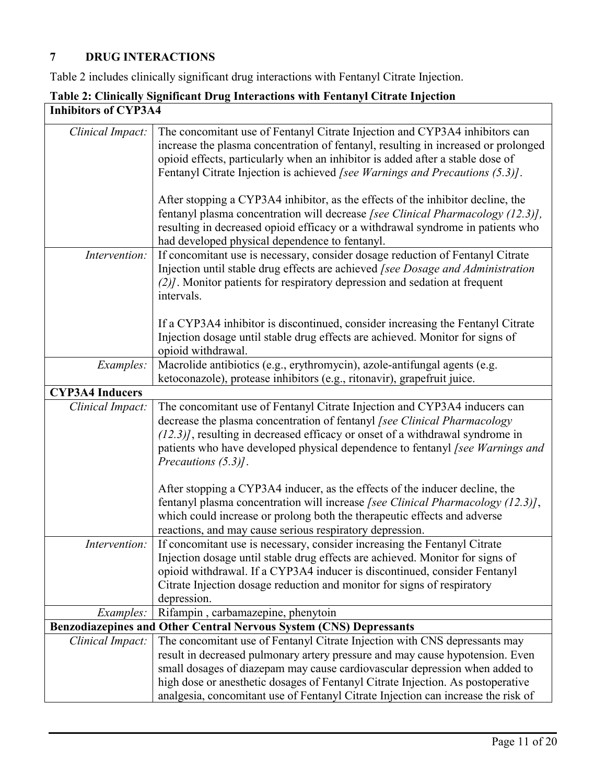# **7 DRUG INTERACTIONS**

Table 2 includes clinically significant drug interactions with Fentanyl Citrate Injection.

| <b>Inhibitors of CYP3A4</b> |                                                                                                                                                                                                                                                                                                                                                                                                                    |  |
|-----------------------------|--------------------------------------------------------------------------------------------------------------------------------------------------------------------------------------------------------------------------------------------------------------------------------------------------------------------------------------------------------------------------------------------------------------------|--|
| Clinical Impact:            | The concomitant use of Fentanyl Citrate Injection and CYP3A4 inhibitors can<br>increase the plasma concentration of fentanyl, resulting in increased or prolonged<br>opioid effects, particularly when an inhibitor is added after a stable dose of<br>Fentanyl Citrate Injection is achieved [see Warnings and Precautions (5.3)].                                                                                |  |
|                             | After stopping a CYP3A4 inhibitor, as the effects of the inhibitor decline, the<br>fentanyl plasma concentration will decrease [see Clinical Pharmacology (12.3)],<br>resulting in decreased opioid efficacy or a withdrawal syndrome in patients who<br>had developed physical dependence to fentanyl.                                                                                                            |  |
| Intervention:               | If concomitant use is necessary, consider dosage reduction of Fentanyl Citrate<br>Injection until stable drug effects are achieved [see Dosage and Administration<br>(2)]. Monitor patients for respiratory depression and sedation at frequent<br>intervals.                                                                                                                                                      |  |
|                             | If a CYP3A4 inhibitor is discontinued, consider increasing the Fentanyl Citrate<br>Injection dosage until stable drug effects are achieved. Monitor for signs of<br>opioid withdrawal.                                                                                                                                                                                                                             |  |
| Examples:                   | Macrolide antibiotics (e.g., erythromycin), azole-antifungal agents (e.g.<br>ketoconazole), protease inhibitors (e.g., ritonavir), grapefruit juice.                                                                                                                                                                                                                                                               |  |
| <b>CYP3A4 Inducers</b>      |                                                                                                                                                                                                                                                                                                                                                                                                                    |  |
| Clinical Impact:            | The concomitant use of Fentanyl Citrate Injection and CYP3A4 inducers can<br>decrease the plasma concentration of fentanyl [see Clinical Pharmacology<br>$(12.3)$ ], resulting in decreased efficacy or onset of a withdrawal syndrome in<br>patients who have developed physical dependence to fentanyl [see Warnings and<br>Precautions (5.3).                                                                   |  |
|                             | After stopping a CYP3A4 inducer, as the effects of the inducer decline, the<br>fentanyl plasma concentration will increase [see Clinical Pharmacology (12.3)],<br>which could increase or prolong both the therapeutic effects and adverse<br>reactions, and may cause serious respiratory depression.                                                                                                             |  |
| Intervention:               | If concomitant use is necessary, consider increasing the Fentanyl Citrate<br>Injection dosage until stable drug effects are achieved. Monitor for signs of<br>opioid withdrawal. If a CYP3A4 inducer is discontinued, consider Fentanyl<br>Citrate Injection dosage reduction and monitor for signs of respiratory<br>depression.                                                                                  |  |
| <i>Examples:</i>            | Rifampin, carbamazepine, phenytoin                                                                                                                                                                                                                                                                                                                                                                                 |  |
|                             | Benzodiazepines and Other Central Nervous System (CNS) Depressants                                                                                                                                                                                                                                                                                                                                                 |  |
| Clinical Impact:            | The concomitant use of Fentanyl Citrate Injection with CNS depressants may<br>result in decreased pulmonary artery pressure and may cause hypotension. Even<br>small dosages of diazepam may cause cardiovascular depression when added to<br>high dose or anesthetic dosages of Fentanyl Citrate Injection. As postoperative<br>analgesia, concomitant use of Fentanyl Citrate Injection can increase the risk of |  |

# **Table 2: Clinically Significant Drug Interactions with Fentanyl Citrate Injection**

٦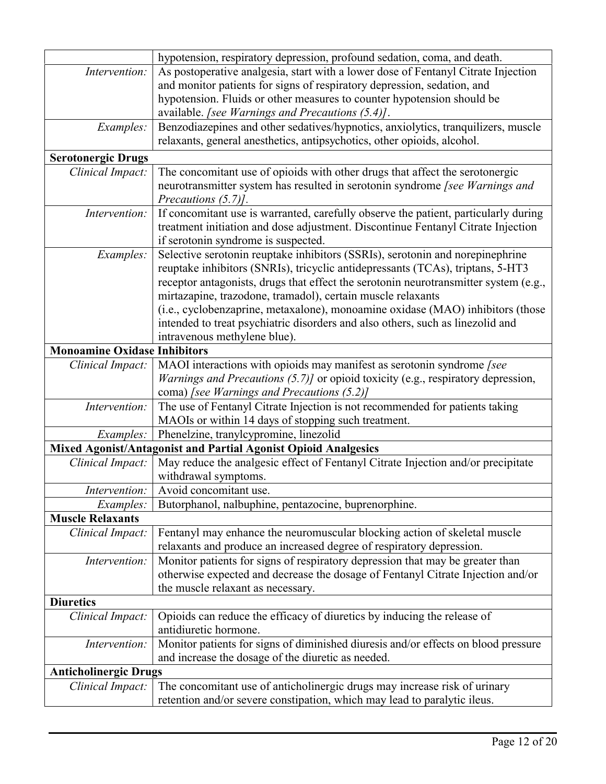|                                     | hypotension, respiratory depression, profound sedation, coma, and death.                                                                          |  |  |  |
|-------------------------------------|---------------------------------------------------------------------------------------------------------------------------------------------------|--|--|--|
| Intervention:                       | As postoperative analgesia, start with a lower dose of Fentanyl Citrate Injection                                                                 |  |  |  |
|                                     | and monitor patients for signs of respiratory depression, sedation, and                                                                           |  |  |  |
|                                     | hypotension. Fluids or other measures to counter hypotension should be                                                                            |  |  |  |
|                                     | available. [see Warnings and Precautions (5.4)].                                                                                                  |  |  |  |
| Examples:                           | Benzodiazepines and other sedatives/hypnotics, anxiolytics, tranquilizers, muscle                                                                 |  |  |  |
|                                     | relaxants, general anesthetics, antipsychotics, other opioids, alcohol.                                                                           |  |  |  |
| <b>Serotonergic Drugs</b>           |                                                                                                                                                   |  |  |  |
| Clinical Impact:                    | The concomitant use of opioids with other drugs that affect the serotonergic                                                                      |  |  |  |
|                                     | neurotransmitter system has resulted in serotonin syndrome [see Warnings and                                                                      |  |  |  |
|                                     | Precautions (5.7)].                                                                                                                               |  |  |  |
| Intervention:                       | If concomitant use is warranted, carefully observe the patient, particularly during                                                               |  |  |  |
|                                     | treatment initiation and dose adjustment. Discontinue Fentanyl Citrate Injection                                                                  |  |  |  |
|                                     | if serotonin syndrome is suspected.                                                                                                               |  |  |  |
| Examples:                           | Selective serotonin reuptake inhibitors (SSRIs), serotonin and norepinephrine                                                                     |  |  |  |
|                                     | reuptake inhibitors (SNRIs), tricyclic antidepressants (TCAs), triptans, 5-HT3                                                                    |  |  |  |
|                                     | receptor antagonists, drugs that effect the serotonin neurotransmitter system (e.g.,                                                              |  |  |  |
|                                     | mirtazapine, trazodone, tramadol), certain muscle relaxants                                                                                       |  |  |  |
|                                     | (i.e., cyclobenzaprine, metaxalone), monoamine oxidase (MAO) inhibitors (those                                                                    |  |  |  |
|                                     | intended to treat psychiatric disorders and also others, such as linezolid and                                                                    |  |  |  |
|                                     | intravenous methylene blue).                                                                                                                      |  |  |  |
| <b>Monoamine Oxidase Inhibitors</b> |                                                                                                                                                   |  |  |  |
| Clinical Impact:                    | MAOI interactions with opioids may manifest as serotonin syndrome [see                                                                            |  |  |  |
|                                     | Warnings and Precautions (5.7)] or opioid toxicity (e.g., respiratory depression,                                                                 |  |  |  |
|                                     | coma) [see Warnings and Precautions (5.2)]                                                                                                        |  |  |  |
| Intervention:                       | The use of Fentanyl Citrate Injection is not recommended for patients taking                                                                      |  |  |  |
|                                     | MAOIs or within 14 days of stopping such treatment.                                                                                               |  |  |  |
| Examples:                           | Phenelzine, tranylcypromine, linezolid                                                                                                            |  |  |  |
|                                     | Mixed Agonist/Antagonist and Partial Agonist Opioid Analgesics                                                                                    |  |  |  |
| Clinical Impact:                    | May reduce the analgesic effect of Fentanyl Citrate Injection and/or precipitate                                                                  |  |  |  |
|                                     | withdrawal symptoms.                                                                                                                              |  |  |  |
| Intervention:                       | Avoid concomitant use.                                                                                                                            |  |  |  |
| Examples:                           | Butorphanol, nalbuphine, pentazocine, buprenorphine.                                                                                              |  |  |  |
| <b>Muscle Relaxants</b>             |                                                                                                                                                   |  |  |  |
| Clinical Impact:                    | Fentanyl may enhance the neuromuscular blocking action of skeletal muscle<br>relaxants and produce an increased degree of respiratory depression. |  |  |  |
| Intervention:                       | Monitor patients for signs of respiratory depression that may be greater than                                                                     |  |  |  |
|                                     | otherwise expected and decrease the dosage of Fentanyl Citrate Injection and/or                                                                   |  |  |  |
|                                     | the muscle relaxant as necessary.                                                                                                                 |  |  |  |
| <b>Diuretics</b>                    |                                                                                                                                                   |  |  |  |
| Clinical Impact:                    | Opioids can reduce the efficacy of diuretics by inducing the release of                                                                           |  |  |  |
|                                     | antidiuretic hormone.                                                                                                                             |  |  |  |
| Intervention:                       | Monitor patients for signs of diminished diuresis and/or effects on blood pressure                                                                |  |  |  |
|                                     | and increase the dosage of the diuretic as needed.                                                                                                |  |  |  |
| <b>Anticholinergic Drugs</b>        |                                                                                                                                                   |  |  |  |
| Clinical Impact:                    | The concomitant use of anticholinergic drugs may increase risk of urinary                                                                         |  |  |  |
|                                     | retention and/or severe constipation, which may lead to paralytic ileus.                                                                          |  |  |  |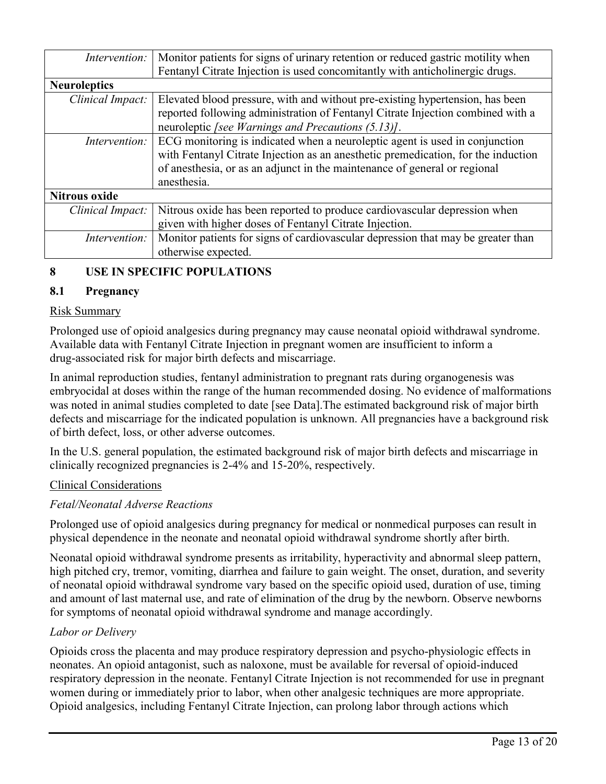| Intervention:        | Monitor patients for signs of urinary retention or reduced gastric motility when<br>Fentanyl Citrate Injection is used concomitantly with anticholinergic drugs. |
|----------------------|------------------------------------------------------------------------------------------------------------------------------------------------------------------|
| <b>Neuroleptics</b>  |                                                                                                                                                                  |
| Clinical Impact:     | Elevated blood pressure, with and without pre-existing hypertension, has been                                                                                    |
|                      | reported following administration of Fentanyl Citrate Injection combined with a                                                                                  |
|                      | neuroleptic [see Warnings and Precautions (5.13)].                                                                                                               |
| Intervention:        | ECG monitoring is indicated when a neuroleptic agent is used in conjunction                                                                                      |
|                      | with Fentanyl Citrate Injection as an anesthetic premedication, for the induction                                                                                |
|                      | of anesthesia, or as an adjunct in the maintenance of general or regional                                                                                        |
|                      | anesthesia.                                                                                                                                                      |
| <b>Nitrous oxide</b> |                                                                                                                                                                  |
| Clinical Impact:     | Nitrous oxide has been reported to produce cardiovascular depression when                                                                                        |
|                      | given with higher doses of Fentanyl Citrate Injection.                                                                                                           |
| Intervention:        | Monitor patients for signs of cardiovascular depression that may be greater than                                                                                 |
|                      | otherwise expected.                                                                                                                                              |

# **8 USE IN SPECIFIC POPULATIONS**

### **8.1 Pregnancy**

### Risk Summary

Prolonged use of opioid analgesics during pregnancy may cause neonatal opioid withdrawal syndrome. Available data with Fentanyl Citrate Injection in pregnant women are insufficient to inform a drug-associated risk for major birth defects and miscarriage.

In animal reproduction studies, fentanyl administration to pregnant rats during organogenesis was embryocidal at doses within the range of the human recommended dosing. No evidence of malformations was noted in animal studies completed to date [see Data].The estimated background risk of major birth defects and miscarriage for the indicated population is unknown. All pregnancies have a background risk of birth defect, loss, or other adverse outcomes.

In the U.S. general population, the estimated background risk of major birth defects and miscarriage in clinically recognized pregnancies is 2-4% and 15-20%, respectively.

#### Clinical Considerations

#### *Fetal/Neonatal Adverse Reactions*

Prolonged use of opioid analgesics during pregnancy for medical or nonmedical purposes can result in physical dependence in the neonate and neonatal opioid withdrawal syndrome shortly after birth.

Neonatal opioid withdrawal syndrome presents as irritability, hyperactivity and abnormal sleep pattern, high pitched cry, tremor, vomiting, diarrhea and failure to gain weight. The onset, duration, and severity of neonatal opioid withdrawal syndrome vary based on the specific opioid used, duration of use, timing and amount of last maternal use, and rate of elimination of the drug by the newborn. Observe newborns for symptoms of neonatal opioid withdrawal syndrome and manage accordingly.

### *Labor or Delivery*

Opioids cross the placenta and may produce respiratory depression and psycho-physiologic effects in neonates. An opioid antagonist, such as naloxone, must be available for reversal of opioid-induced respiratory depression in the neonate. Fentanyl Citrate Injection is not recommended for use in pregnant women during or immediately prior to labor, when other analgesic techniques are more appropriate. Opioid analgesics, including Fentanyl Citrate Injection, can prolong labor through actions which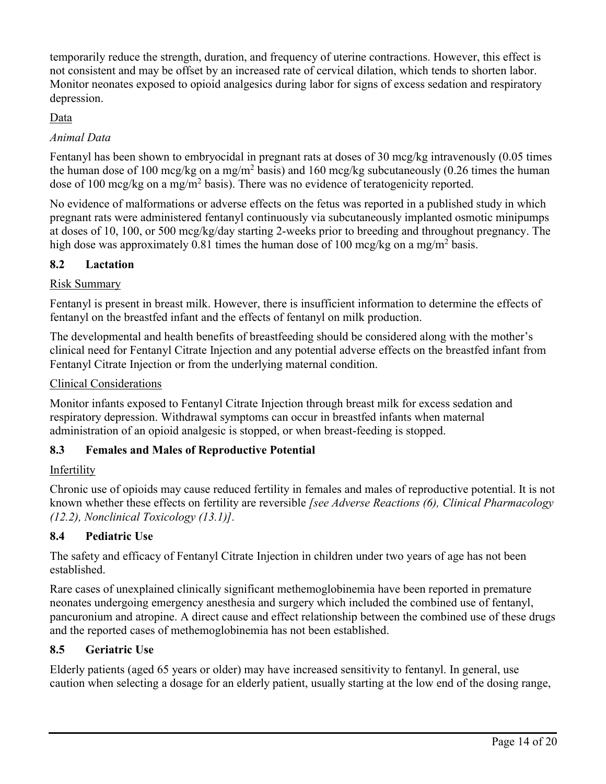temporarily reduce the strength, duration, and frequency of uterine contractions. However, this effect is not consistent and may be offset by an increased rate of cervical dilation, which tends to shorten labor. Monitor neonates exposed to opioid analgesics during labor for signs of excess sedation and respiratory depression.

## Data

## *Animal Data*

Fentanyl has been shown to embryocidal in pregnant rats at doses of 30 mcg/kg intravenously (0.05 times the human dose of 100 mcg/kg on a mg/m<sup>2</sup> basis) and 160 mcg/kg subcutaneously (0.26 times the human dose of 100 mcg/kg on a mg/m<sup>2</sup> basis). There was no evidence of teratogenicity reported.

No evidence of malformations or adverse effects on the fetus was reported in a published study in which pregnant rats were administered fentanyl continuously via subcutaneously implanted osmotic minipumps at doses of 10, 100, or 500 mcg/kg/day starting 2-weeks prior to breeding and throughout pregnancy. The high dose was approximately 0.81 times the human dose of 100 mcg/kg on a mg/m<sup>2</sup> basis.

## **8.2 Lactation**

## Risk Summary

Fentanyl is present in breast milk. However, there is insufficient information to determine the effects of fentanyl on the breastfed infant and the effects of fentanyl on milk production.

The developmental and health benefits of breastfeeding should be considered along with the mother's clinical need for Fentanyl Citrate Injection and any potential adverse effects on the breastfed infant from Fentanyl Citrate Injection or from the underlying maternal condition.

## Clinical Considerations

Monitor infants exposed to Fentanyl Citrate Injection through breast milk for excess sedation and respiratory depression. Withdrawal symptoms can occur in breastfed infants when maternal administration of an opioid analgesic is stopped, or when breast-feeding is stopped.

## **8.3 Females and Males of Reproductive Potential**

### Infertility

Chronic use of opioids may cause reduced fertility in females and males of reproductive potential. It is not known whether these effects on fertility are reversible *[see Adverse Reactions (6), Clinical Pharmacology (12.2), Nonclinical Toxicology (13.1)].*

## **8.4 Pediatric Use**

The safety and efficacy of Fentanyl Citrate Injection in children under two years of age has not been established.

Rare cases of unexplained clinically significant methemoglobinemia have been reported in premature neonates undergoing emergency anesthesia and surgery which included the combined use of fentanyl, pancuronium and atropine. A direct cause and effect relationship between the combined use of these drugs and the reported cases of methemoglobinemia has not been established.

## **8.5 Geriatric Use**

Elderly patients (aged 65 years or older) may have increased sensitivity to fentanyl. In general, use caution when selecting a dosage for an elderly patient, usually starting at the low end of the dosing range,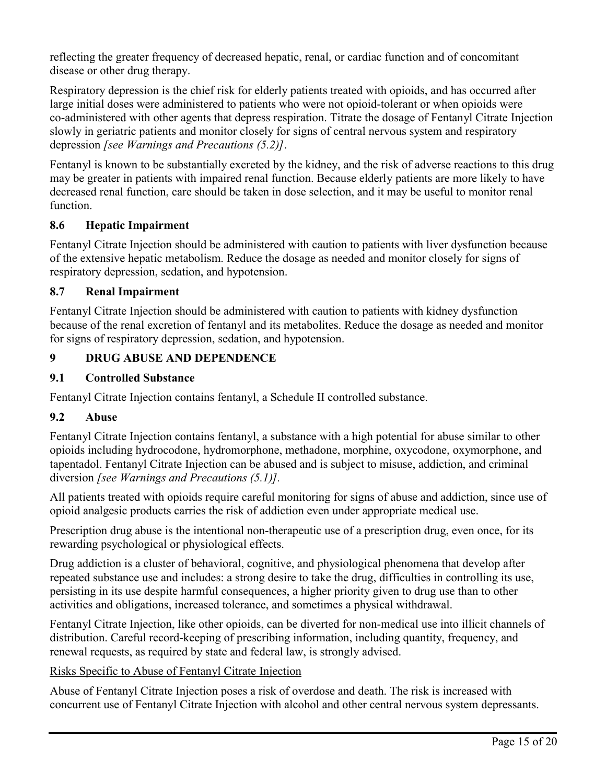reflecting the greater frequency of decreased hepatic, renal, or cardiac function and of concomitant disease or other drug therapy.

Respiratory depression is the chief risk for elderly patients treated with opioids, and has occurred after large initial doses were administered to patients who were not opioid-tolerant or when opioids were co-administered with other agents that depress respiration. Titrate the dosage of Fentanyl Citrate Injection slowly in geriatric patients and monitor closely for signs of central nervous system and respiratory depression *[see Warnings and Precautions (5.2)]*.

Fentanyl is known to be substantially excreted by the kidney, and the risk of adverse reactions to this drug may be greater in patients with impaired renal function. Because elderly patients are more likely to have decreased renal function, care should be taken in dose selection, and it may be useful to monitor renal function.

## **8.6 Hepatic Impairment**

Fentanyl Citrate Injection should be administered with caution to patients with liver dysfunction because of the extensive hepatic metabolism. Reduce the dosage as needed and monitor closely for signs of respiratory depression, sedation, and hypotension.

## **8.7 Renal Impairment**

Fentanyl Citrate Injection should be administered with caution to patients with kidney dysfunction because of the renal excretion of fentanyl and its metabolites. Reduce the dosage as needed and monitor for signs of respiratory depression, sedation, and hypotension.

# **9 DRUG ABUSE AND DEPENDENCE**

## **9.1 Controlled Substance**

Fentanyl Citrate Injection contains fentanyl, a Schedule II controlled substance.

## **9.2 Abuse**

Fentanyl Citrate Injection contains fentanyl, a substance with a high potential for abuse similar to other opioids including hydrocodone, hydromorphone, methadone, morphine, oxycodone, oxymorphone, and tapentadol. Fentanyl Citrate Injection can be abused and is subject to misuse, addiction, and criminal diversion *[see Warnings and Precautions (5.1)].*

All patients treated with opioids require careful monitoring for signs of abuse and addiction, since use of opioid analgesic products carries the risk of addiction even under appropriate medical use.

Prescription drug abuse is the intentional non-therapeutic use of a prescription drug, even once, for its rewarding psychological or physiological effects.

Drug addiction is a cluster of behavioral, cognitive, and physiological phenomena that develop after repeated substance use and includes: a strong desire to take the drug, difficulties in controlling its use, persisting in its use despite harmful consequences, a higher priority given to drug use than to other activities and obligations, increased tolerance, and sometimes a physical withdrawal.

Fentanyl Citrate Injection, like other opioids, can be diverted for non-medical use into illicit channels of distribution. Careful record-keeping of prescribing information, including quantity, frequency, and renewal requests, as required by state and federal law, is strongly advised.

Risks Specific to Abuse of Fentanyl Citrate Injection

Abuse of Fentanyl Citrate Injection poses a risk of overdose and death. The risk is increased with concurrent use of Fentanyl Citrate Injection with alcohol and other central nervous system depressants.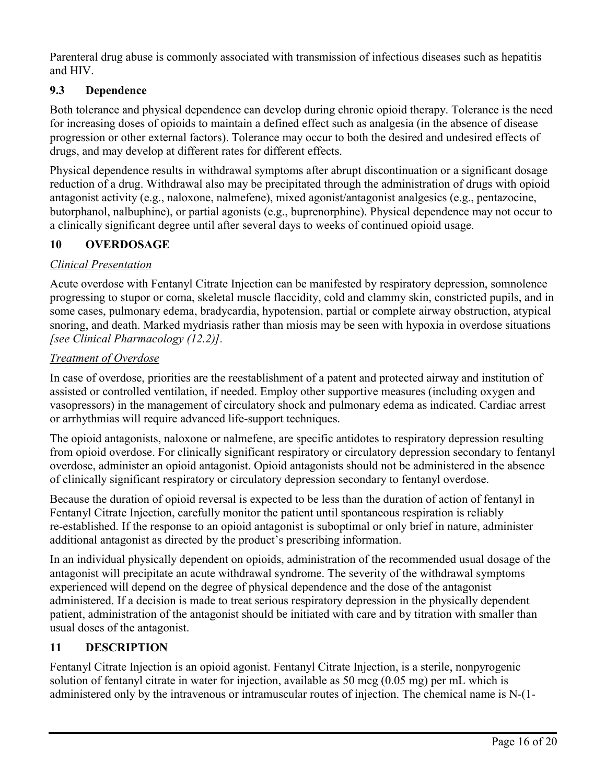Parenteral drug abuse is commonly associated with transmission of infectious diseases such as hepatitis and HIV.

# **9.3 Dependence**

Both tolerance and physical dependence can develop during chronic opioid therapy. Tolerance is the need for increasing doses of opioids to maintain a defined effect such as analgesia (in the absence of disease progression or other external factors). Tolerance may occur to both the desired and undesired effects of drugs, and may develop at different rates for different effects.

Physical dependence results in withdrawal symptoms after abrupt discontinuation or a significant dosage reduction of a drug. Withdrawal also may be precipitated through the administration of drugs with opioid antagonist activity (e.g., naloxone, nalmefene), mixed agonist/antagonist analgesics (e.g., pentazocine, butorphanol, nalbuphine), or partial agonists (e.g., buprenorphine). Physical dependence may not occur to a clinically significant degree until after several days to weeks of continued opioid usage.

# **10 OVERDOSAGE**

## *Clinical Presentation*

Acute overdose with Fentanyl Citrate Injection can be manifested by respiratory depression, somnolence progressing to stupor or coma, skeletal muscle flaccidity, cold and clammy skin, constricted pupils, and in some cases, pulmonary edema, bradycardia, hypotension, partial or complete airway obstruction, atypical snoring, and death. Marked mydriasis rather than miosis may be seen with hypoxia in overdose situations *[see Clinical Pharmacology (12.2)].*

## *Treatment of Overdose*

In case of overdose, priorities are the reestablishment of a patent and protected airway and institution of assisted or controlled ventilation, if needed. Employ other supportive measures (including oxygen and vasopressors) in the management of circulatory shock and pulmonary edema as indicated. Cardiac arrest or arrhythmias will require advanced life-support techniques.

The opioid antagonists, naloxone or nalmefene, are specific antidotes to respiratory depression resulting from opioid overdose. For clinically significant respiratory or circulatory depression secondary to fentanyl overdose, administer an opioid antagonist. Opioid antagonists should not be administered in the absence of clinically significant respiratory or circulatory depression secondary to fentanyl overdose.

Because the duration of opioid reversal is expected to be less than the duration of action of fentanyl in Fentanyl Citrate Injection, carefully monitor the patient until spontaneous respiration is reliably re-established. If the response to an opioid antagonist is suboptimal or only brief in nature, administer additional antagonist as directed by the product's prescribing information.

In an individual physically dependent on opioids, administration of the recommended usual dosage of the antagonist will precipitate an acute withdrawal syndrome. The severity of the withdrawal symptoms experienced will depend on the degree of physical dependence and the dose of the antagonist administered. If a decision is made to treat serious respiratory depression in the physically dependent patient, administration of the antagonist should be initiated with care and by titration with smaller than usual doses of the antagonist.

## **11 DESCRIPTION**

Fentanyl Citrate Injection is an opioid agonist. Fentanyl Citrate Injection, is a sterile, nonpyrogenic solution of fentanyl citrate in water for injection, available as 50 mcg (0.05 mg) per mL which is administered only by the intravenous or intramuscular routes of injection. The chemical name is N-(1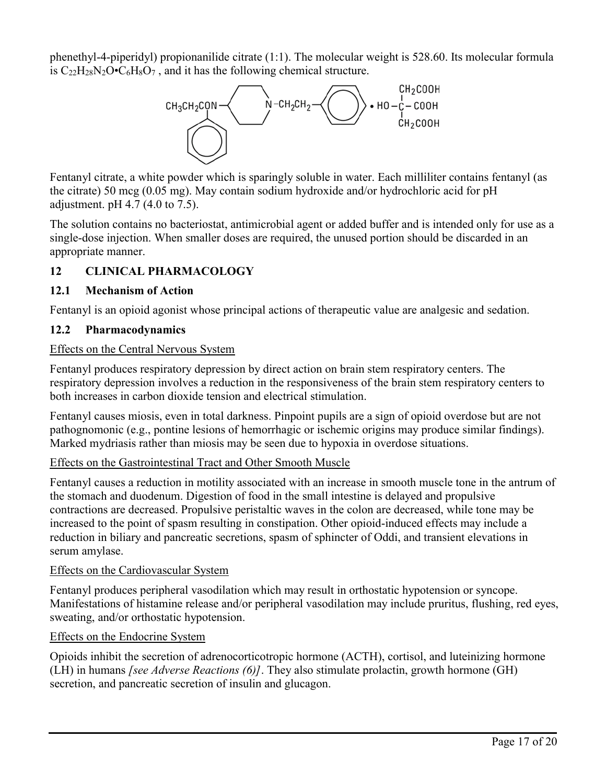phenethyl-4-piperidyl) propionanilide citrate (1:1). The molecular weight is 528.60. Its molecular formula is  $C_{22}H_{28}N_2O\cdot C_6H_8O_7$ , and it has the following chemical structure.



Fentanyl citrate, a white powder which is sparingly soluble in water. Each milliliter contains fentanyl (as the citrate) 50 mcg (0.05 mg). May contain sodium hydroxide and/or hydrochloric acid for pH adjustment. pH 4.7 (4.0 to 7.5).

The solution contains no bacteriostat, antimicrobial agent or added buffer and is intended only for use as a single-dose injection. When smaller doses are required, the unused portion should be discarded in an appropriate manner.

# **12 CLINICAL PHARMACOLOGY**

## **12.1 Mechanism of Action**

Fentanyl is an opioid agonist whose principal actions of therapeutic value are analgesic and sedation.

## **12.2 Pharmacodynamics**

## Effects on the Central Nervous System

Fentanyl produces respiratory depression by direct action on brain stem respiratory centers. The respiratory depression involves a reduction in the responsiveness of the brain stem respiratory centers to both increases in carbon dioxide tension and electrical stimulation.

Fentanyl causes miosis, even in total darkness. Pinpoint pupils are a sign of opioid overdose but are not pathognomonic (e.g., pontine lesions of hemorrhagic or ischemic origins may produce similar findings). Marked mydriasis rather than miosis may be seen due to hypoxia in overdose situations.

## Effects on the Gastrointestinal Tract and Other Smooth Muscle

Fentanyl causes a reduction in motility associated with an increase in smooth muscle tone in the antrum of the stomach and duodenum. Digestion of food in the small intestine is delayed and propulsive contractions are decreased. Propulsive peristaltic waves in the colon are decreased, while tone may be increased to the point of spasm resulting in constipation. Other opioid-induced effects may include a reduction in biliary and pancreatic secretions, spasm of sphincter of Oddi, and transient elevations in serum amylase.

### Effects on the Cardiovascular System

Fentanyl produces peripheral vasodilation which may result in orthostatic hypotension or syncope. Manifestations of histamine release and/or peripheral vasodilation may include pruritus, flushing, red eyes, sweating, and/or orthostatic hypotension.

## Effects on the Endocrine System

Opioids inhibit the secretion of adrenocorticotropic hormone (ACTH), cortisol, and luteinizing hormone (LH) in humans *[see Adverse Reactions (6)]*. They also stimulate prolactin, growth hormone (GH) secretion, and pancreatic secretion of insulin and glucagon.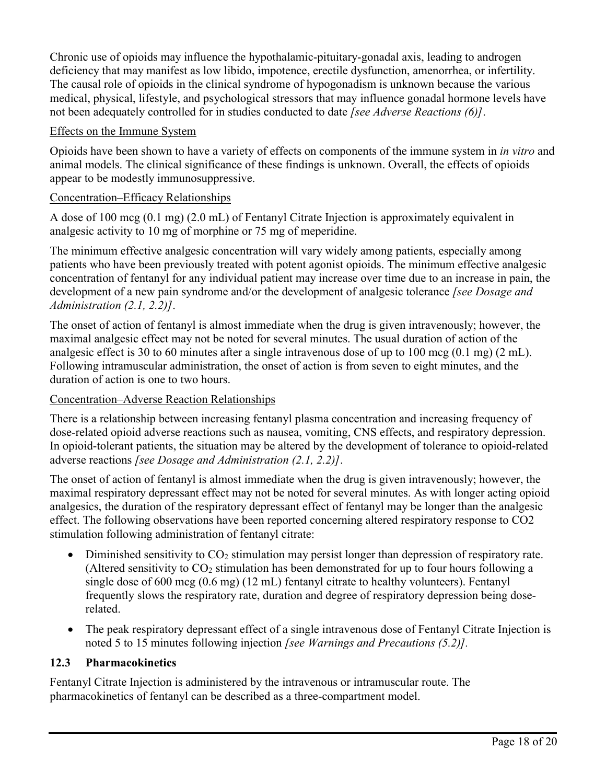Chronic use of opioids may influence the hypothalamic-pituitary-gonadal axis, leading to androgen deficiency that may manifest as low libido, impotence, erectile dysfunction, amenorrhea, or infertility. The causal role of opioids in the clinical syndrome of hypogonadism is unknown because the various medical, physical, lifestyle, and psychological stressors that may influence gonadal hormone levels have not been adequately controlled for in studies conducted to date *[see Adverse Reactions (6)]*.

### Effects on the Immune System

Opioids have been shown to have a variety of effects on components of the immune system in *in vitro* and animal models. The clinical significance of these findings is unknown. Overall, the effects of opioids appear to be modestly immunosuppressive.

## Concentration–Efficacy Relationships

A dose of 100 mcg (0.1 mg) (2.0 mL) of Fentanyl Citrate Injection is approximately equivalent in analgesic activity to 10 mg of morphine or 75 mg of meperidine.

The minimum effective analgesic concentration will vary widely among patients, especially among patients who have been previously treated with potent agonist opioids. The minimum effective analgesic concentration of fentanyl for any individual patient may increase over time due to an increase in pain, the development of a new pain syndrome and/or the development of analgesic tolerance *[see Dosage and Administration (2.1, 2.2)]*.

The onset of action of fentanyl is almost immediate when the drug is given intravenously; however, the maximal analgesic effect may not be noted for several minutes. The usual duration of action of the analgesic effect is 30 to 60 minutes after a single intravenous dose of up to 100 mcg (0.1 mg) (2 mL). Following intramuscular administration, the onset of action is from seven to eight minutes, and the duration of action is one to two hours.

## Concentration–Adverse Reaction Relationships

There is a relationship between increasing fentanyl plasma concentration and increasing frequency of dose-related opioid adverse reactions such as nausea, vomiting, CNS effects, and respiratory depression. In opioid-tolerant patients, the situation may be altered by the development of tolerance to opioid-related adverse reactions *[see Dosage and Administration (2.1, 2.2)]*.

The onset of action of fentanyl is almost immediate when the drug is given intravenously; however, the maximal respiratory depressant effect may not be noted for several minutes. As with longer acting opioid analgesics, the duration of the respiratory depressant effect of fentanyl may be longer than the analgesic effect. The following observations have been reported concerning altered respiratory response to CO2 stimulation following administration of fentanyl citrate:

- $\bullet$  Diminished sensitivity to CO<sub>2</sub> stimulation may persist longer than depression of respiratory rate. (Altered sensitivity to  $CO<sub>2</sub>$  stimulation has been demonstrated for up to four hours following a single dose of 600 mcg (0.6 mg) (12 mL) fentanyl citrate to healthy volunteers). Fentanyl frequently slows the respiratory rate, duration and degree of respiratory depression being doserelated.
- The peak respiratory depressant effect of a single intravenous dose of Fentanyl Citrate Injection is noted 5 to 15 minutes following injection *[see Warnings and Precautions (5.2)].*

### **12.3 Pharmacokinetics**

Fentanyl Citrate Injection is administered by the intravenous or intramuscular route. The pharmacokinetics of fentanyl can be described as a three-compartment model.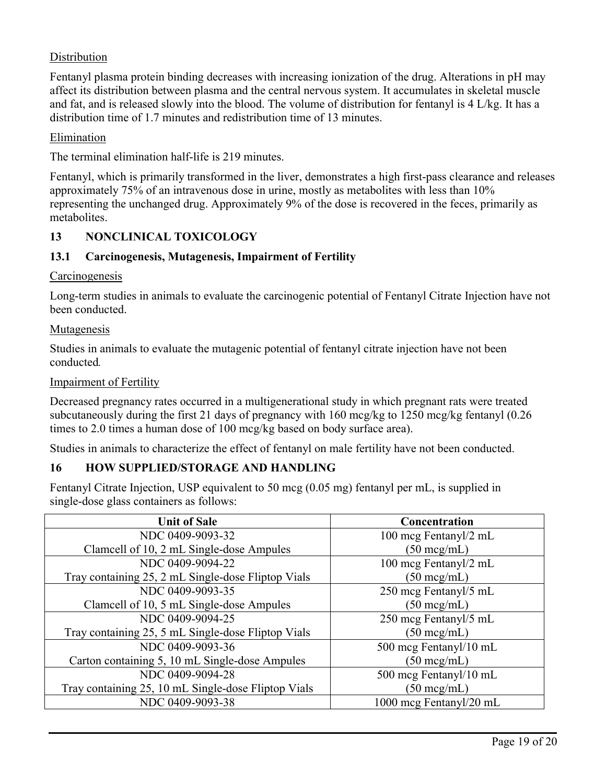## Distribution

Fentanyl plasma protein binding decreases with increasing ionization of the drug. Alterations in pH may affect its distribution between plasma and the central nervous system. It accumulates in skeletal muscle and fat, and is released slowly into the blood. The volume of distribution for fentanyl is 4 L/kg. It has a distribution time of 1.7 minutes and redistribution time of 13 minutes.

#### Elimination

The terminal elimination half-life is 219 minutes.

Fentanyl, which is primarily transformed in the liver, demonstrates a high first-pass clearance and releases approximately 75% of an intravenous dose in urine, mostly as metabolites with less than 10% representing the unchanged drug. Approximately 9% of the dose is recovered in the feces, primarily as metabolites.

### **13 NONCLINICAL TOXICOLOGY**

#### **13.1 Carcinogenesis, Mutagenesis, Impairment of Fertility**

#### **Carcinogenesis**

Long-term studies in animals to evaluate the carcinogenic potential of Fentanyl Citrate Injection have not been conducted.

#### Mutagenesis

Studies in animals to evaluate the mutagenic potential of fentanyl citrate injection have not been conducted*.*

#### Impairment of Fertility

Decreased pregnancy rates occurred in a multigenerational study in which pregnant rats were treated subcutaneously during the first 21 days of pregnancy with 160 mcg/kg to 1250 mcg/kg fentanyl (0.26 times to 2.0 times a human dose of 100 mcg/kg based on body surface area).

Studies in animals to characterize the effect of fentanyl on male fertility have not been conducted.

### **16 HOW SUPPLIED/STORAGE AND HANDLING**

Fentanyl Citrate Injection, USP equivalent to 50 mcg (0.05 mg) fentanyl per mL, is supplied in single-dose glass containers as follows:

| <b>Unit of Sale</b>                                 | Concentration           |
|-----------------------------------------------------|-------------------------|
| NDC 0409-9093-32                                    | 100 mcg Fentanyl/2 mL   |
| Clamcell of 10, 2 mL Single-dose Ampules            | $(50 \text{~mcg/mL})$   |
| NDC 0409-9094-22                                    | 100 mcg Fentanyl/2 mL   |
| Tray containing 25, 2 mL Single-dose Fliptop Vials  | $(50 \text{~mcg/mL})$   |
| NDC 0409-9093-35                                    | 250 mcg Fentanyl/5 mL   |
| Clamcell of 10, 5 mL Single-dose Ampules            | $(50 \text{~mcg/mL})$   |
| NDC 0409-9094-25                                    | 250 mcg Fentanyl/5 mL   |
| Tray containing 25, 5 mL Single-dose Fliptop Vials  | $(50 \text{~mcg/mL})$   |
| NDC 0409-9093-36                                    | 500 mcg Fentanyl/10 mL  |
| Carton containing 5, 10 mL Single-dose Ampules      | $(50 \text{~mcg/mL})$   |
| NDC 0409-9094-28                                    | 500 mcg Fentanyl/10 mL  |
| Tray containing 25, 10 mL Single-dose Fliptop Vials | $(50 \text{~mcg/mL})$   |
| NDC 0409-9093-38                                    | 1000 mcg Fentanyl/20 mL |